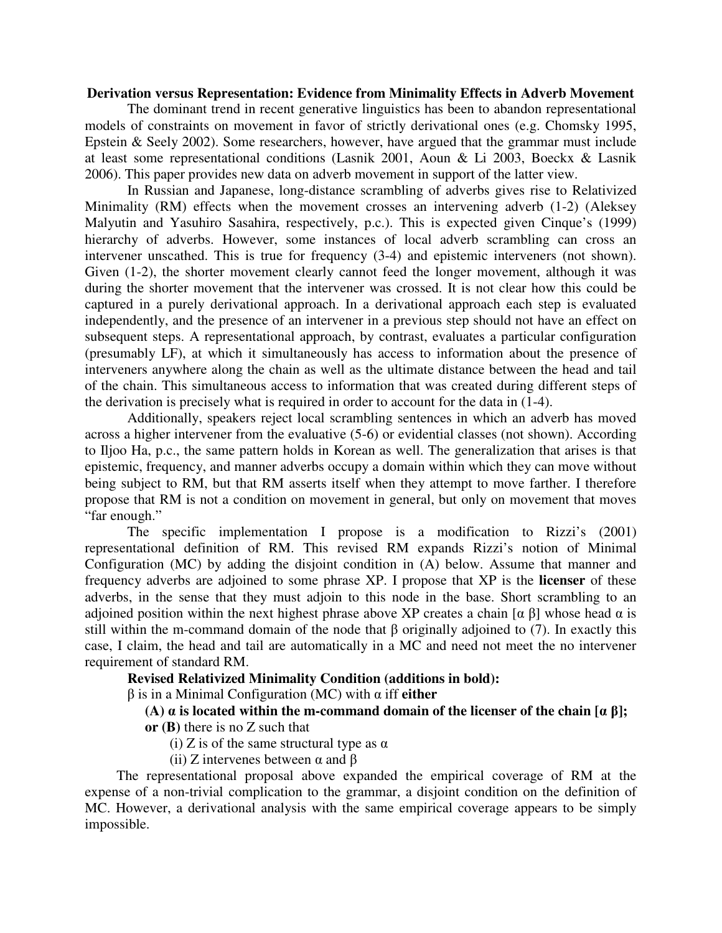## **Derivation versus Representation: Evidence from Minimality Effects in Adverb Movement**

The dominant trend in recent generative linguistics has been to abandon representational models of constraints on movement in favor of strictly derivational ones (e.g. Chomsky 1995, Epstein & Seely 2002). Some researchers, however, have argued that the grammar must include at least some representational conditions (Lasnik 2001, Aoun & Li 2003, Boeckx & Lasnik 2006). This paper provides new data on adverb movement in support of the latter view.

In Russian and Japanese, long-distance scrambling of adverbs gives rise to Relativized Minimality (RM) effects when the movement crosses an intervening adverb (1-2) (Aleksey Malyutin and Yasuhiro Sasahira, respectively, p.c.). This is expected given Cinque's (1999) hierarchy of adverbs. However, some instances of local adverb scrambling can cross an intervener unscathed. This is true for frequency (3-4) and epistemic interveners (not shown). Given (1-2), the shorter movement clearly cannot feed the longer movement, although it was during the shorter movement that the intervener was crossed. It is not clear how this could be captured in a purely derivational approach. In a derivational approach each step is evaluated independently, and the presence of an intervener in a previous step should not have an effect on subsequent steps. A representational approach, by contrast, evaluates a particular configuration (presumably LF), at which it simultaneously has access to information about the presence of interveners anywhere along the chain as well as the ultimate distance between the head and tail of the chain. This simultaneous access to information that was created during different steps of the derivation is precisely what is required in order to account for the data in (1-4).

Additionally, speakers reject local scrambling sentences in which an adverb has moved across a higher intervener from the evaluative (5-6) or evidential classes (not shown). According to Iljoo Ha, p.c., the same pattern holds in Korean as well. The generalization that arises is that epistemic, frequency, and manner adverbs occupy a domain within which they can move without being subject to RM, but that RM asserts itself when they attempt to move farther. I therefore propose that RM is not a condition on movement in general, but only on movement that moves "far enough."

The specific implementation I propose is a modification to Rizzi's (2001) representational definition of RM. This revised RM expands Rizzi's notion of Minimal Configuration (MC) by adding the disjoint condition in (A) below. Assume that manner and frequency adverbs are adjoined to some phrase XP. I propose that XP is the **licenser** of these adverbs, in the sense that they must adjoin to this node in the base. Short scrambling to an adjoined position within the next highest phrase above XP creates a chain  $\alpha \beta$ ] whose head  $\alpha$  is still within the m-command domain of the node that  $\beta$  originally adjoined to (7). In exactly this case, I claim, the head and tail are automatically in a MC and need not meet the no intervener requirement of standard RM.

## **Revised Relativized Minimality Condition (additions in bold):**

β is in a Minimal Configuration (MC) with α iff **either**

## **(A)** α **is located within the m-command domain of the licenser of the chain [**α β**];**

- **or (B)** there is no Z such that
	- (i) Z is of the same structural type as  $\alpha$
	- (ii) Z intervenes between  $\alpha$  and  $\beta$

 The representational proposal above expanded the empirical coverage of RM at the expense of a non-trivial complication to the grammar, a disjoint condition on the definition of MC. However, a derivational analysis with the same empirical coverage appears to be simply impossible.